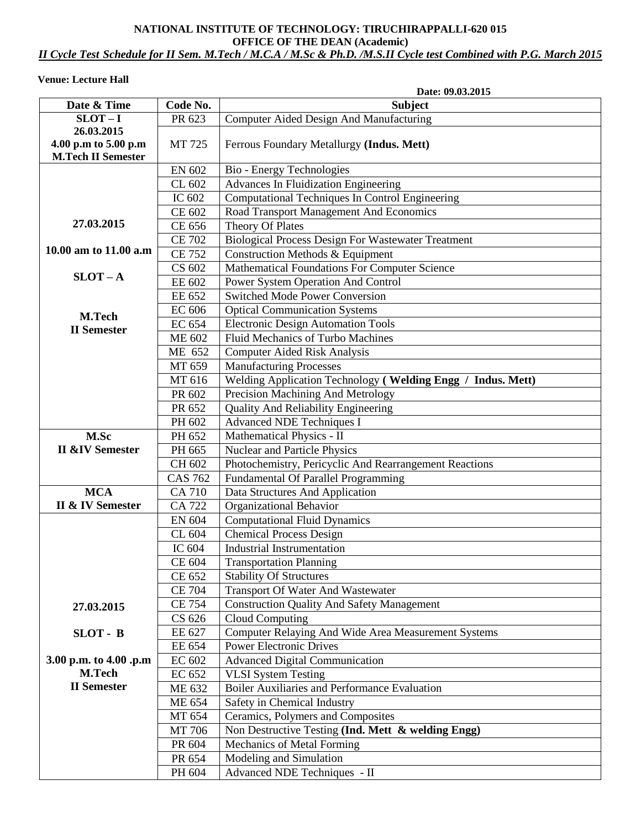## **NATIONAL INSTITUTE OF TECHNOLOGY: TIRUCHIRAPPALLI-620 015 OFFICE OF THE DEAN (Academic)**

*II Cycle Test Schedule for II Sem. M.Tech / M.C.A / M.Sc & Ph.D. /M.S.II Cycle test Combined with P.G. March 2015*

**Venue: Lecture Hall**

|                                     |                      | Date: 09.03.2015                                                            |
|-------------------------------------|----------------------|-----------------------------------------------------------------------------|
| Date & Time                         | Code No.             | <b>Subject</b>                                                              |
| $SLOT-I$                            | PR 623               | Computer Aided Design And Manufacturing                                     |
| 26.03.2015                          |                      |                                                                             |
| 4.00 p.m to 5.00 p.m                | MT 725               | Ferrous Foundary Metallurgy (Indus. Mett)                                   |
| <b>M.Tech II Semester</b>           |                      |                                                                             |
|                                     | EN 602               | <b>Bio - Energy Technologies</b>                                            |
|                                     | CL 602               | <b>Advances In Fluidization Engineering</b>                                 |
|                                     | IC 602               | Computational Techniques In Control Engineering                             |
| 27.03.2015                          | CE 602               | Road Transport Management And Economics                                     |
|                                     | CE 656               | Theory Of Plates                                                            |
| 10.00 am to 11.00 a.m               | <b>CE 702</b>        | <b>Biological Process Design For Wastewater Treatment</b>                   |
|                                     | <b>CE 752</b>        | Construction Methods & Equipment                                            |
| $SLOT - A$                          | CS 602               | Mathematical Foundations For Computer Science                               |
|                                     | EE 602               | Power System Operation And Control                                          |
|                                     | EE 652               | <b>Switched Mode Power Conversion</b>                                       |
| M.Tech                              | <b>EC 606</b>        | <b>Optical Communication Systems</b>                                        |
| <b>II</b> Semester                  | <b>EC 654</b>        | <b>Electronic Design Automation Tools</b>                                   |
|                                     | <b>ME 602</b>        | <b>Fluid Mechanics of Turbo Machines</b>                                    |
|                                     | ME 652               | <b>Computer Aided Risk Analysis</b>                                         |
|                                     | MT 659               | Manufacturing Processes                                                     |
|                                     | MT 616               | Welding Application Technology (Welding Engg / Indus. Mett)                 |
|                                     | PR 602               | Precision Machining And Metrology                                           |
|                                     | PR 652               | <b>Quality And Reliability Engineering</b>                                  |
|                                     | PH 602               | <b>Advanced NDE Techniques I</b>                                            |
| M.Sc                                | PH 652               | Mathematical Physics - II                                                   |
| <b>II &amp;IV Semester</b>          | PH 665               | <b>Nuclear and Particle Physics</b>                                         |
|                                     | CH 602               | Photochemistry, Pericyclic And Rearrangement Reactions                      |
|                                     | <b>CAS 762</b>       | Fundamental Of Parallel Programming                                         |
| <b>MCA</b>                          | <b>CA 710</b>        | Data Structures And Application                                             |
| <b>II &amp; IV Semester</b>         | <b>CA 722</b>        | Organizational Behavior                                                     |
|                                     | <b>EN 604</b>        | <b>Computational Fluid Dynamics</b>                                         |
|                                     | CL 604               | <b>Chemical Process Design</b>                                              |
|                                     | IC 604               | <b>Industrial Instrumentation</b>                                           |
|                                     | CE 604               | <b>Transportation Planning</b>                                              |
|                                     | CE 652               | <b>Stability Of Structures</b>                                              |
|                                     | <b>CE 704</b>        | <b>Transport Of Water And Wastewater</b>                                    |
| 27.03.2015                          | <b>CE 754</b>        | <b>Construction Quality And Safety Management</b>                           |
|                                     | $\overline{C}$ S 626 | <b>Cloud Computing</b>                                                      |
| SLOT - B                            | EE 627               | Computer Relaying And Wide Area Measurement Systems                         |
|                                     | EE 654               | <b>Power Electronic Drives</b>                                              |
| 3.00 p.m. to 4.00 .p.m              | EC 602               | <b>Advanced Digital Communication</b>                                       |
| <b>M.Tech</b><br><b>II</b> Semester | EC 652               | <b>VLSI</b> System Testing<br>Boiler Auxiliaries and Performance Evaluation |
|                                     | ME 632               |                                                                             |
|                                     | ME 654               | Safety in Chemical Industry                                                 |
|                                     | MT 654               | Ceramics, Polymers and Composites                                           |
|                                     | MT 706               | Non Destructive Testing (Ind. Mett & welding Engg)                          |
|                                     | PR 604               | Mechanics of Metal Forming                                                  |
|                                     | PR 654               | Modeling and Simulation                                                     |
|                                     | PH 604               | Advanced NDE Techniques - II                                                |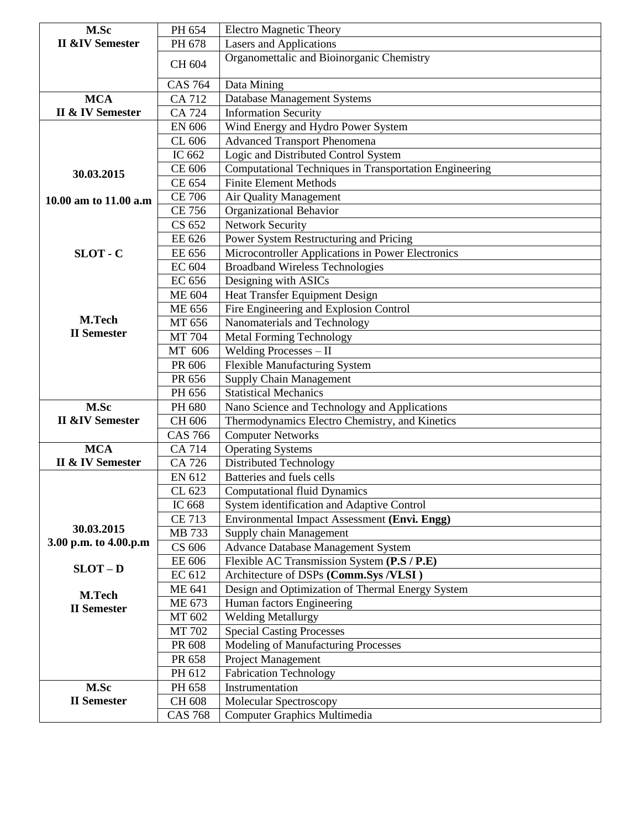| M.Sc                        | PH 654         | <b>Electro Magnetic Theory</b>                         |
|-----------------------------|----------------|--------------------------------------------------------|
| <b>II &amp;IV Semester</b>  | PH 678         | <b>Lasers and Applications</b>                         |
|                             |                | Organomettalic and Bioinorganic Chemistry              |
|                             | CH 604         |                                                        |
|                             | <b>CAS 764</b> | Data Mining                                            |
| <b>MCA</b>                  | CA 712         | Database Management Systems                            |
| <b>II &amp; IV Semester</b> | CA 724         | <b>Information Security</b>                            |
|                             | <b>EN 606</b>  | Wind Energy and Hydro Power System                     |
|                             | CL 606         | <b>Advanced Transport Phenomena</b>                    |
|                             | IC 662         | Logic and Distributed Control System                   |
| 30.03.2015                  | CE 606         | Computational Techniques in Transportation Engineering |
|                             | CE 654         | <b>Finite Element Methods</b>                          |
| 10.00 am to 11.00 a.m       | <b>CE 706</b>  | Air Quality Management                                 |
|                             | <b>CE 756</b>  | Organizational Behavior                                |
|                             | CS 652         | Network Security                                       |
|                             | EE 626         | Power System Restructuring and Pricing                 |
| SLOT - C                    | EE 656         | Microcontroller Applications in Power Electronics      |
|                             | <b>EC 604</b>  | <b>Broadband Wireless Technologies</b>                 |
|                             | <b>EC 656</b>  | Designing with ASICs                                   |
|                             | ME 604         | Heat Transfer Equipment Design                         |
|                             | <b>ME 656</b>  | Fire Engineering and Explosion Control                 |
| M.Tech                      | MT 656         | Nanomaterials and Technology                           |
| <b>II</b> Semester          | MT 704         | <b>Metal Forming Technology</b>                        |
|                             | MT 606         | Welding Processes - II                                 |
|                             | PR 606         | <b>Flexible Manufacturing System</b>                   |
|                             | PR 656         | <b>Supply Chain Management</b>                         |
|                             | PH 656         | <b>Statistical Mechanics</b>                           |
| M.Sc                        | PH 680         | Nano Science and Technology and Applications           |
| <b>II &amp;IV Semester</b>  | CH 606         | Thermodynamics Electro Chemistry, and Kinetics         |
|                             | <b>CAS 766</b> | <b>Computer Networks</b>                               |
| <b>MCA</b>                  | <b>CA 714</b>  | <b>Operating Systems</b>                               |
| <b>II &amp; IV Semester</b> | CA 726         | <b>Distributed Technology</b>                          |
|                             | EN 612         | Batteries and fuels cells                              |
|                             | CL 623         | <b>Computational fluid Dynamics</b>                    |
|                             | IC 668         | System identification and Adaptive Control             |
|                             | <b>CE 713</b>  | Environmental Impact Assessment (Envi. Engg)           |
| 30.03.2015                  | MB 733         | Supply chain Management                                |
| 3.00 p.m. to 4.00.p.m       | CS 606         | <b>Advance Database Management System</b>              |
| $SLOT - D$                  | EE 606         | Flexible AC Transmission System (P.S / P.E)            |
|                             | EC 612         | Architecture of DSPs (Comm.Sys /VLSI)                  |
| <b>M.Tech</b>               | ME 641         | Design and Optimization of Thermal Energy System       |
| <b>II</b> Semester          | ME 673         | Human factors Engineering                              |
|                             | MT 602         | <b>Welding Metallurgy</b>                              |
|                             | MT 702         | <b>Special Casting Processes</b>                       |
|                             | PR 608         | Modeling of Manufacturing Processes                    |
|                             | PR 658         | Project Management                                     |
|                             | PH 612         | <b>Fabrication Technology</b>                          |
| M.Sc                        | PH 658         | Instrumentation                                        |
| <b>II</b> Semester          | CH 608         | Molecular Spectroscopy                                 |
|                             | <b>CAS 768</b> | Computer Graphics Multimedia                           |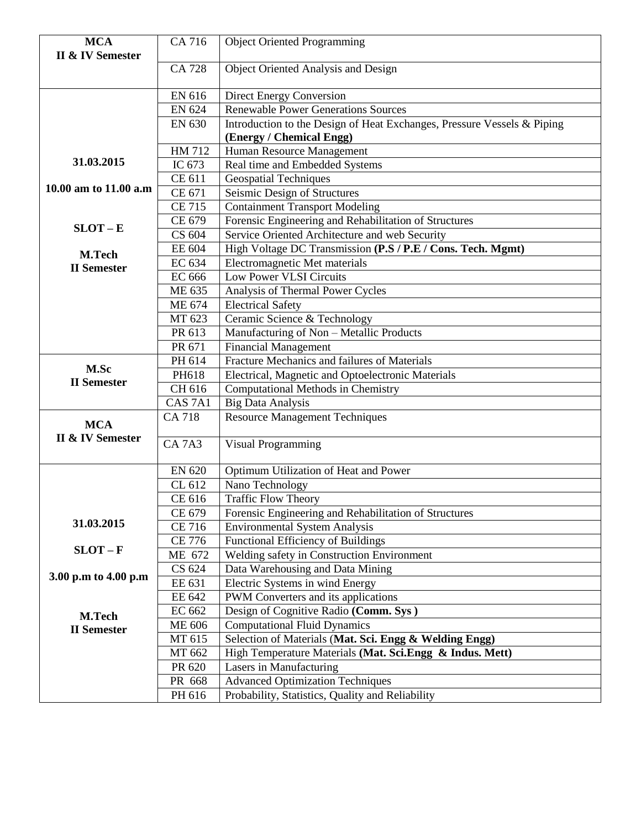| <b>MCA</b>                  | CA 716                         | <b>Object Oriented Programming</b>                                                  |
|-----------------------------|--------------------------------|-------------------------------------------------------------------------------------|
| <b>II &amp; IV Semester</b> |                                |                                                                                     |
|                             | <b>CA728</b>                   | <b>Object Oriented Analysis and Design</b>                                          |
|                             |                                |                                                                                     |
|                             | EN 616                         | <b>Direct Energy Conversion</b>                                                     |
|                             | EN 624                         | <b>Renewable Power Generations Sources</b>                                          |
|                             | EN 630                         | Introduction to the Design of Heat Exchanges, Pressure Vessels & Piping             |
|                             |                                | (Energy / Chemical Engg)                                                            |
|                             | HM 712                         | Human Resource Management                                                           |
| 31.03.2015                  | IC 673                         | Real time and Embedded Systems                                                      |
|                             | CE 611                         | <b>Geospatial Techniques</b>                                                        |
| 10.00 am to 11.00 a.m       | CE 671                         | Seismic Design of Structures                                                        |
|                             | <b>CE 715</b>                  | <b>Containment Transport Modeling</b>                                               |
| $SLOT - E$                  | CE 679                         | Forensic Engineering and Rehabilitation of Structures                               |
|                             | CS 604                         | Service Oriented Architecture and web Security                                      |
| M.Tech                      | EE 604                         | High Voltage DC Transmission (P.S / P.E / Cons. Tech. Mgmt)                         |
| <b>II</b> Semester          | EC 634                         | Electromagnetic Met materials                                                       |
|                             | EC 666                         | <b>Low Power VLSI Circuits</b>                                                      |
|                             | ME 635                         | Analysis of Thermal Power Cycles                                                    |
|                             | ME 674                         | <b>Electrical Safety</b>                                                            |
|                             | MT 623                         | Ceramic Science & Technology                                                        |
|                             | PR 613                         | Manufacturing of Non - Metallic Products                                            |
|                             | PR 671                         | <b>Financial Management</b>                                                         |
| M.Sc                        | PH 614                         | Fracture Mechanics and failures of Materials                                        |
| <b>II</b> Semester          | PH618                          | Electrical, Magnetic and Optoelectronic Materials                                   |
|                             | CH 616                         | Computational Methods in Chemistry                                                  |
|                             | CAS <sub>7A1</sub>             | <b>Big Data Analysis</b>                                                            |
| <b>MCA</b>                  | <b>CA 718</b>                  | <b>Resource Management Techniques</b>                                               |
| <b>II &amp; IV Semester</b> |                                |                                                                                     |
|                             | CA <sub>7</sub> A <sub>3</sub> | <b>Visual Programming</b>                                                           |
|                             |                                |                                                                                     |
|                             | <b>EN 620</b>                  | Optimum Utilization of Heat and Power                                               |
|                             | CL 612                         | Nano Technology                                                                     |
|                             | CE 616<br>CE 679               | <b>Traffic Flow Theory</b><br>Forensic Engineering and Rehabilitation of Structures |
| 31.03.2015                  | CE 716                         |                                                                                     |
|                             | <b>CE 776</b>                  | <b>Environmental System Analysis</b><br>Functional Efficiency of Buildings          |
| $SLOT - F$                  | ME 672                         | Welding safety in Construction Environment                                          |
|                             | CS 624                         | Data Warehousing and Data Mining                                                    |
| 3.00 p.m to 4.00 p.m        | EE 631                         | Electric Systems in wind Energy                                                     |
|                             | EE 642                         | PWM Converters and its applications                                                 |
|                             | EC 662                         | Design of Cognitive Radio (Comm. Sys)                                               |
| M.Tech                      | ME 606                         | <b>Computational Fluid Dynamics</b>                                                 |
| <b>II</b> Semester          | MT 615                         | Selection of Materials (Mat. Sci. Engg & Welding Engg)                              |
|                             | MT 662                         | High Temperature Materials (Mat. Sci.Engg & Indus. Mett)                            |
|                             | PR 620                         | Lasers in Manufacturing                                                             |
|                             | PR 668                         | <b>Advanced Optimization Techniques</b>                                             |
|                             | PH 616                         | Probability, Statistics, Quality and Reliability                                    |